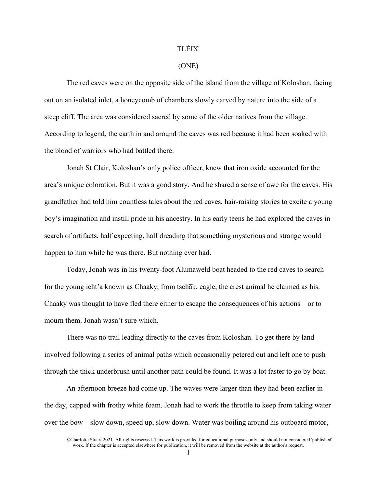## TLÉIX'

## (ONE)

The red caves were on the opposite side of the island from the village of Koloshan, facing out on an isolated inlet, a honeycomb of chambers slowly carved by nature into the side of a steep cliff. The area was considered sacred by some of the older natives from the village. According to legend, the earth in and around the caves was red because it had been soaked with the blood of warriors who had battled there.

Jonah St Clair, Koloshan's only police officer, knew that iron oxide accounted for the area's unique coloration. But it was a good story. And he shared a sense of awe for the caves. His grandfather had told him countless tales about the red caves, hair-raising stories to excite a young boy's imagination and instill pride in his ancestry. In his early teens he had explored the caves in search of artifacts, half expecting, half dreading that something mysterious and strange would happen to him while he was there. But nothing ever had.

Today, Jonah was in his twenty-foot Alumaweld boat headed to the red caves to search for the young icht'a known as Chaaky, from tschax, eagle, the crest animal he claimed as his. Chaaky was thought to have fled there either to escape the consequences of his actions—or to mourn them. Jonah wasn't sure which.

There was no trail leading directly to the caves from Koloshan. To get there by land involved following a series of animal paths which occasionally petered out and left one to push through the thick underbrush until another path could be found. It was a lot faster to go by boat.

An afternoon breeze had come up. The waves were larger than they had been earlier in the day, capped with frothy white foam. Jonah had to work the throttle to keep from taking water over the bow – slow down, speed up, slow down. Water was boiling around his outboard motor,

<sup>©</sup>Charlotte Stuart 2021. All rights reserved. This work is provided for educational purposes only and should not considered 'published' work. If the chapter is accepted elsewhere for publication, it will be removed from the website at the author's request.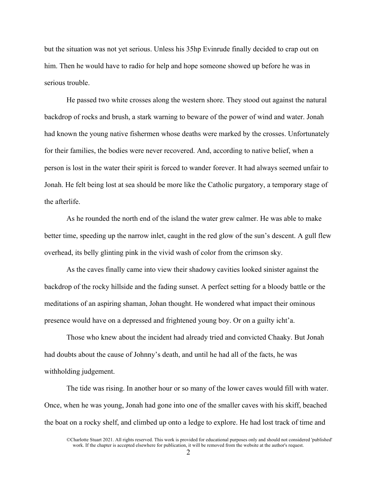but the situation was not yet serious. Unless his 35hp Evinrude finally decided to crap out on him. Then he would have to radio for help and hope someone showed up before he was in serious trouble.

He passed two white crosses along the western shore. They stood out against the natural backdrop of rocks and brush, a stark warning to beware of the power of wind and water. Jonah had known the young native fishermen whose deaths were marked by the crosses. Unfortunately for their families, the bodies were never recovered. And, according to native belief, when a person is lost in the water their spirit is forced to wander forever. It had always seemed unfair to Jonah. He felt being lost at sea should be more like the Catholic purgatory, a temporary stage of the afterlife.

As he rounded the north end of the island the water grew calmer. He was able to make better time, speeding up the narrow inlet, caught in the red glow of the sun's descent. A gull flew overhead, its belly glinting pink in the vivid wash of color from the crimson sky.

As the caves finally came into view their shadowy cavities looked sinister against the backdrop of the rocky hillside and the fading sunset. A perfect setting for a bloody battle or the meditations of an aspiring shaman, Johan thought. He wondered what impact their ominous presence would have on a depressed and frightened young boy. Or on a guilty icht'a.

Those who knew about the incident had already tried and convicted Chaaky. But Jonah had doubts about the cause of Johnny's death, and until he had all of the facts, he was withholding judgement.

The tide was rising. In another hour or so many of the lower caves would fill with water. Once, when he was young, Jonah had gone into one of the smaller caves with his skiff, beached the boat on a rocky shelf, and climbed up onto a ledge to explore. He had lost track of time and

<sup>©</sup>Charlotte Stuart 2021. All rights reserved. This work is provided for educational purposes only and should not considered 'published' work. If the chapter is accepted elsewhere for publication, it will be removed from the website at the author's request.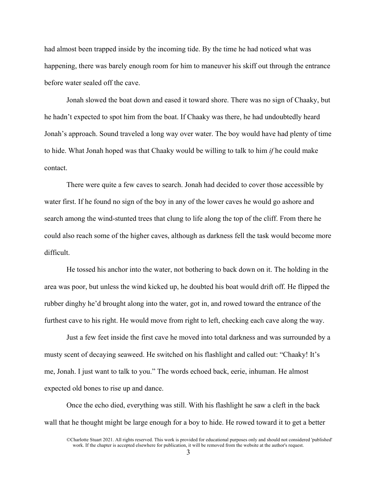had almost been trapped inside by the incoming tide. By the time he had noticed what was happening, there was barely enough room for him to maneuver his skiff out through the entrance before water sealed off the cave.

Jonah slowed the boat down and eased it toward shore. There was no sign of Chaaky, but he hadn't expected to spot him from the boat. If Chaaky was there, he had undoubtedly heard Jonah's approach. Sound traveled a long way over water. The boy would have had plenty of time to hide. What Jonah hoped was that Chaaky would be willing to talk to him *if* he could make contact.

There were quite a few caves to search. Jonah had decided to cover those accessible by water first. If he found no sign of the boy in any of the lower caves he would go ashore and search among the wind-stunted trees that clung to life along the top of the cliff. From there he could also reach some of the higher caves, although as darkness fell the task would become more difficult.

He tossed his anchor into the water, not bothering to back down on it. The holding in the area was poor, but unless the wind kicked up, he doubted his boat would drift off. He flipped the rubber dinghy he'd brought along into the water, got in, and rowed toward the entrance of the furthest cave to his right. He would move from right to left, checking each cave along the way.

Just a few feet inside the first cave he moved into total darkness and was surrounded by a musty scent of decaying seaweed. He switched on his flashlight and called out: "Chaaky! It's me, Jonah. I just want to talk to you." The words echoed back, eerie, inhuman. He almost expected old bones to rise up and dance.

Once the echo died, everything was still. With his flashlight he saw a cleft in the back wall that he thought might be large enough for a boy to hide. He rowed toward it to get a better

<sup>©</sup>Charlotte Stuart 2021. All rights reserved. This work is provided for educational purposes only and should not considered 'published' work. If the chapter is accepted elsewhere for publication, it will be removed from the website at the author's request.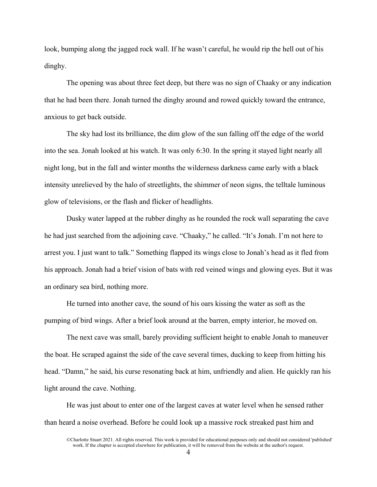look, bumping along the jagged rock wall. If he wasn't careful, he would rip the hell out of his dinghy.

The opening was about three feet deep, but there was no sign of Chaaky or any indication that he had been there. Jonah turned the dinghy around and rowed quickly toward the entrance, anxious to get back outside.

The sky had lost its brilliance, the dim glow of the sun falling off the edge of the world into the sea. Jonah looked at his watch. It was only 6:30. In the spring it stayed light nearly all night long, but in the fall and winter months the wilderness darkness came early with a black intensity unrelieved by the halo of streetlights, the shimmer of neon signs, the telltale luminous glow of televisions, or the flash and flicker of headlights.

Dusky water lapped at the rubber dinghy as he rounded the rock wall separating the cave he had just searched from the adjoining cave. "Chaaky," he called. "It's Jonah. I'm not here to arrest you. I just want to talk." Something flapped its wings close to Jonah's head as it fled from his approach. Jonah had a brief vision of bats with red veined wings and glowing eyes. But it was an ordinary sea bird, nothing more.

He turned into another cave, the sound of his oars kissing the water as soft as the pumping of bird wings. After a brief look around at the barren, empty interior, he moved on.

The next cave was small, barely providing sufficient height to enable Jonah to maneuver the boat. He scraped against the side of the cave several times, ducking to keep from hitting his head. "Damn," he said, his curse resonating back at him, unfriendly and alien. He quickly ran his light around the cave. Nothing.

He was just about to enter one of the largest caves at water level when he sensed rather than heard a noise overhead. Before he could look up a massive rock streaked past him and

<sup>©</sup>Charlotte Stuart 2021. All rights reserved. This work is provided for educational purposes only and should not considered 'published' work. If the chapter is accepted elsewhere for publication, it will be removed from the website at the author's request.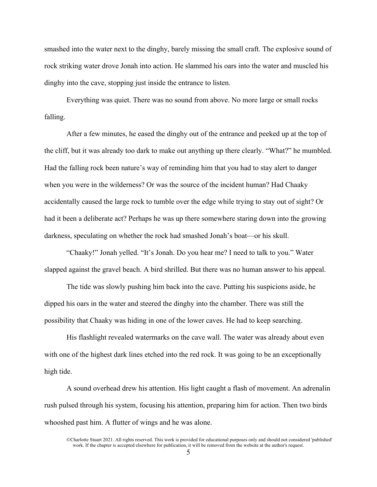smashed into the water next to the dinghy, barely missing the small craft. The explosive sound of rock striking water drove Jonah into action. He slammed his oars into the water and muscled his dinghy into the cave, stopping just inside the entrance to listen.

Everything was quiet. There was no sound from above. No more large or small rocks falling.

After a few minutes, he eased the dinghy out of the entrance and peeked up at the top of the cliff, but it was already too dark to make out anything up there clearly. "What?" he mumbled. Had the falling rock been nature's way of reminding him that you had to stay alert to danger when you were in the wilderness? Or was the source of the incident human? Had Chaaky accidentally caused the large rock to tumble over the edge while trying to stay out of sight? Or had it been a deliberate act? Perhaps he was up there somewhere staring down into the growing darkness, speculating on whether the rock had smashed Jonah's boat—or his skull.

"Chaaky!" Jonah yelled. "It's Jonah. Do you hear me? I need to talk to you." Water slapped against the gravel beach. A bird shrilled. But there was no human answer to his appeal.

The tide was slowly pushing him back into the cave. Putting his suspicions aside, he dipped his oars in the water and steered the dinghy into the chamber. There was still the possibility that Chaaky was hiding in one of the lower caves. He had to keep searching.

His flashlight revealed watermarks on the cave wall. The water was already about even with one of the highest dark lines etched into the red rock. It was going to be an exceptionally high tide.

A sound overhead drew his attention. His light caught a flash of movement. An adrenalin rush pulsed through his system, focusing his attention, preparing him for action. Then two birds whooshed past him. A flutter of wings and he was alone.

<sup>©</sup>Charlotte Stuart 2021. All rights reserved. This work is provided for educational purposes only and should not considered 'published' work. If the chapter is accepted elsewhere for publication, it will be removed from the website at the author's request.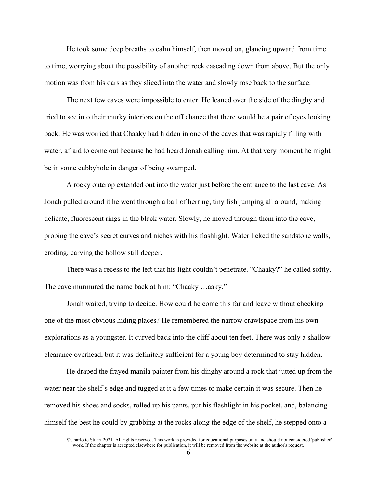He took some deep breaths to calm himself, then moved on, glancing upward from time to time, worrying about the possibility of another rock cascading down from above. But the only motion was from his oars as they sliced into the water and slowly rose back to the surface.

The next few caves were impossible to enter. He leaned over the side of the dinghy and tried to see into their murky interiors on the off chance that there would be a pair of eyes looking back. He was worried that Chaaky had hidden in one of the caves that was rapidly filling with water, afraid to come out because he had heard Jonah calling him. At that very moment he might be in some cubbyhole in danger of being swamped.

A rocky outcrop extended out into the water just before the entrance to the last cave. As Jonah pulled around it he went through a ball of herring, tiny fish jumping all around, making delicate, fluorescent rings in the black water. Slowly, he moved through them into the cave, probing the cave's secret curves and niches with his flashlight. Water licked the sandstone walls, eroding, carving the hollow still deeper.

There was a recess to the left that his light couldn't penetrate. "Chaaky?" he called softly. The cave murmured the name back at him: "Chaaky …aaky."

Jonah waited, trying to decide. How could he come this far and leave without checking one of the most obvious hiding places? He remembered the narrow crawlspace from his own explorations as a youngster. It curved back into the cliff about ten feet. There was only a shallow clearance overhead, but it was definitely sufficient for a young boy determined to stay hidden.

He draped the frayed manila painter from his dinghy around a rock that jutted up from the water near the shelf's edge and tugged at it a few times to make certain it was secure. Then he removed his shoes and socks, rolled up his pants, put his flashlight in his pocket, and, balancing himself the best he could by grabbing at the rocks along the edge of the shelf, he stepped onto a

<sup>©</sup>Charlotte Stuart 2021. All rights reserved. This work is provided for educational purposes only and should not considered 'published' work. If the chapter is accepted elsewhere for publication, it will be removed from the website at the author's request.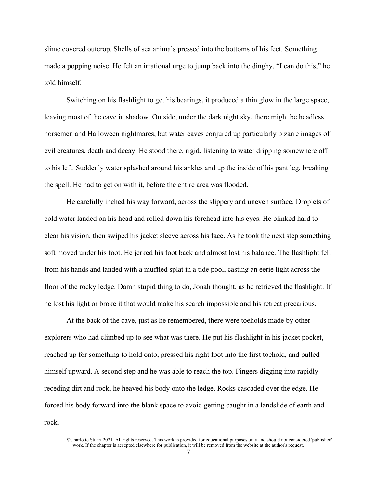slime covered outcrop. Shells of sea animals pressed into the bottoms of his feet. Something made a popping noise. He felt an irrational urge to jump back into the dinghy. "I can do this," he told himself.

Switching on his flashlight to get his bearings, it produced a thin glow in the large space, leaving most of the cave in shadow. Outside, under the dark night sky, there might be headless horsemen and Halloween nightmares, but water caves conjured up particularly bizarre images of evil creatures, death and decay. He stood there, rigid, listening to water dripping somewhere off to his left. Suddenly water splashed around his ankles and up the inside of his pant leg, breaking the spell. He had to get on with it, before the entire area was flooded.

He carefully inched his way forward, across the slippery and uneven surface. Droplets of cold water landed on his head and rolled down his forehead into his eyes. He blinked hard to clear his vision, then swiped his jacket sleeve across his face. As he took the next step something soft moved under his foot. He jerked his foot back and almost lost his balance. The flashlight fell from his hands and landed with a muffled splat in a tide pool, casting an eerie light across the floor of the rocky ledge. Damn stupid thing to do, Jonah thought, as he retrieved the flashlight. If he lost his light or broke it that would make his search impossible and his retreat precarious.

At the back of the cave, just as he remembered, there were toeholds made by other explorers who had climbed up to see what was there. He put his flashlight in his jacket pocket, reached up for something to hold onto, pressed his right foot into the first toehold, and pulled himself upward. A second step and he was able to reach the top. Fingers digging into rapidly receding dirt and rock, he heaved his body onto the ledge. Rocks cascaded over the edge. He forced his body forward into the blank space to avoid getting caught in a landslide of earth and rock.

<sup>©</sup>Charlotte Stuart 2021. All rights reserved. This work is provided for educational purposes only and should not considered 'published' work. If the chapter is accepted elsewhere for publication, it will be removed from the website at the author's request.